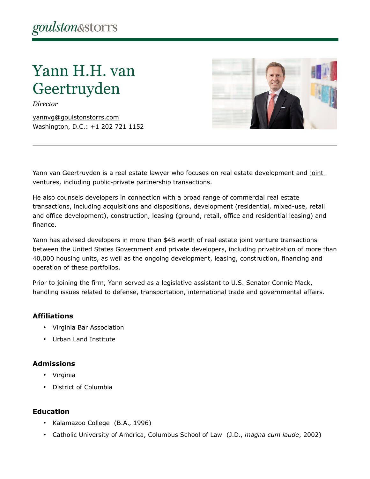# Yann H.H. van Geertruyden

*Director*

[yannvg@goulstonstorrs.com](mailto:yannvg@goulstonstorrs.com) Washington, D.C.: +1 202 721 1152



Yann van Geertruyden is a real estate lawyer who focuses on real estate development and joint [ventures,](https://www.goulstonstorrs.com/real-estate-joint-ventures-equity-investments/) including [public-private partnership](https://www.goulstonstorrs.com/public-private-partnerships/) transactions.

He also counsels developers in connection with a broad range of commercial real estate transactions, including acquisitions and dispositions, development (residential, mixed-use, retail and office development), construction, leasing (ground, retail, office and residential leasing) and finance.

Yann has advised developers in more than \$4B worth of real estate joint venture transactions between the United States Government and private developers, including privatization of more than 40,000 housing units, as well as the ongoing development, leasing, construction, financing and operation of these portfolios.

Prior to joining the firm, Yann served as a legislative assistant to U.S. Senator Connie Mack, handling issues related to defense, transportation, international trade and governmental affairs.

# **Affiliations**

- Virginia Bar Association
- Urban Land Institute

# **Admissions**

- Virginia
- District of Columbia

# **Education**

- Kalamazoo College (B.A., 1996)
- Catholic University of America, Columbus School of Law (J.D., *magna cum laude*, 2002)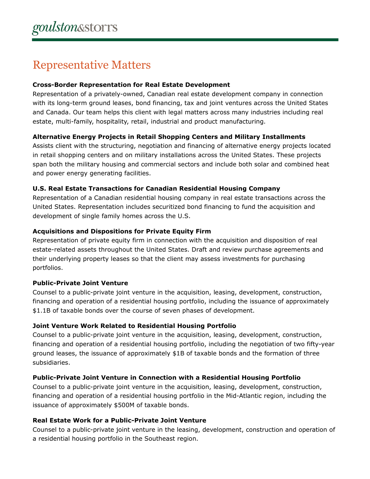# Representative Matters

#### **Cross-Border Representation for Real Estate Development**

Representation of a privately-owned, Canadian real estate development company in connection with its long-term ground leases, bond financing, tax and joint ventures across the United States and Canada. Our team helps this client with legal matters across many industries including real estate, multi-family, hospitality, retail, industrial and product manufacturing.

# **Alternative Energy Projects in Retail Shopping Centers and Military Installments**

Assists client with the structuring, negotiation and financing of alternative energy projects located in retail shopping centers and on military installations across the United States. These projects span both the military housing and commercial sectors and include both solar and combined heat and power energy generating facilities.

#### **U.S. Real Estate Transactions for Canadian Residential Housing Company**

Representation of a Canadian residential housing company in real estate transactions across the United States. Representation includes securitized bond financing to fund the acquisition and development of single family homes across the U.S.

#### **Acquisitions and Dispositions for Private Equity Firm**

Representation of private equity firm in connection with the acquisition and disposition of real estate-related assets throughout the United States. Draft and review purchase agreements and their underlying property leases so that the client may assess investments for purchasing portfolios.

# **Public-Private Joint Venture**

Counsel to a public-private joint venture in the acquisition, leasing, development, construction, financing and operation of a residential housing portfolio, including the issuance of approximately \$1.1B of taxable bonds over the course of seven phases of development.

#### **Joint Venture Work Related to Residential Housing Portfolio**

Counsel to a public-private joint venture in the acquisition, leasing, development, construction, financing and operation of a residential housing portfolio, including the negotiation of two fifty-year ground leases, the issuance of approximately \$1B of taxable bonds and the formation of three subsidiaries.

# **Public-Private Joint Venture in Connection with a Residential Housing Portfolio**

Counsel to a public-private joint venture in the acquisition, leasing, development, construction, financing and operation of a residential housing portfolio in the Mid-Atlantic region, including the issuance of approximately \$500M of taxable bonds.

#### **Real Estate Work for a Public-Private Joint Venture**

Counsel to a public-private joint venture in the leasing, development, construction and operation of a residential housing portfolio in the Southeast region.